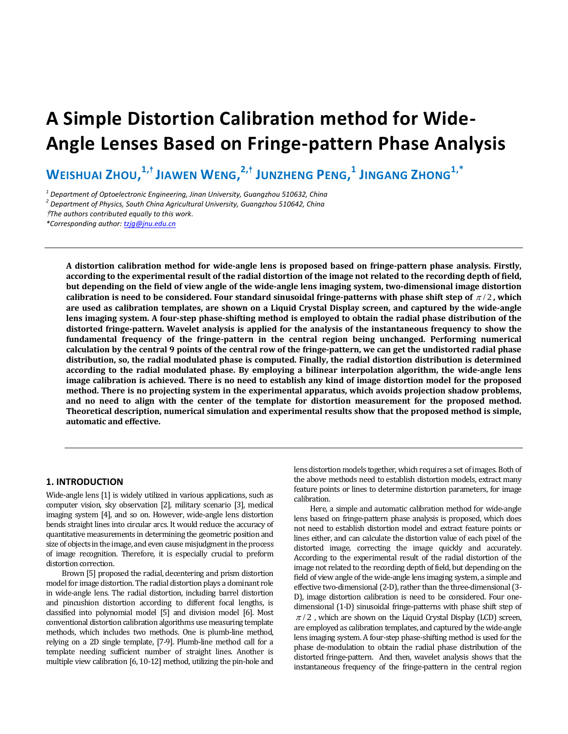# **A Simple Distortion Calibration method for Wide-Angle Lenses Based on Fringe-pattern Phase Analysis**

WEISHUAI ZHOU, $^{\mathbf{1},\dagger}$ JIAWEN WENG, $^{\mathbf{2},\dagger}$  JUNZHENG PENG, $^{\mathbf{1}}$  JINGANG ZHONG $^{\mathbf{1},\ast}$ 

*1 Department of Optoelectronic Engineering, Jinan University, Guangzhou 510632, China*

*2 Department of Physics, South China Agricultural University, Guangzhou 510642, China*

†*The authors contributed equally to this work.*

*\*Corresponding author[: tzjg@jnu.edu.cn](mailto:tzjg@jnu.edu.cn)*

**A distortion calibration method for wide-angle lens is proposed based on fringe-pattern phase analysis. Firstly, according to the experimental result of the radial distortion of the image not related to the recording depth of field, but depending on the field of view angle of the wide-angle lens imaging system, two-dimensional image distortion**  calibration is need to be considered. Four standard sinusoidal fringe-patterns with phase shift step of  $\pi/2$ , which **are used as calibration templates, are shown on a Liquid Crystal Display screen, and captured by the wide-angle lens imaging system. A four-step phase-shifting method is employed to obtain the radial phase distribution of the distorted fringe-pattern. Wavelet analysis is applied for the analysis of the instantaneous frequency to show the fundamental frequency of the fringe-pattern in the central region being unchanged. Performing numerical calculation by the central 9 points of the central row of the fringe-pattern, we can get the undistorted radial phase distribution, so, the radial modulated phase is computed. Finally, the radial distortion distribution is determined according to the radial modulated phase. By employing a bilinear interpolation algorithm, the wide-angle lens image calibration is achieved. There is no need to establish any kind of image distortion model for the proposed method. There is no projecting system in the experimental apparatus, which avoids projection shadow problems, and no need to align with the center of the template for distortion measurement for the proposed method. Theoretical description, numerical simulation and experimental results show that the proposed method is simple, automatic and effective.** 

## **1. INTRODUCTION**

Wide-angle lens [1] is widely utilized in various applications, such as computer vision, sky observation [2], military scenario [3], medical imaging system [4], and so on. However, wide-angle lens distortion bends straight lines into circular arcs. It would reduce the accuracy of quantitative measurements in determining the geometric position and size of objects in the image, and even cause misjudgment in the process of image recognition. Therefore, it is especially crucial to preform distortion correction.

Brown [5] proposed the radial, decentering and prism distortion model for image distortion. The radial distortion plays a dominant role in wide-angle lens. The radial distortion, including barrel distortion and pincushion distortion according to different focal lengths, is classified into polynomial model [5] and division model [6]. Most conventional distortion calibrationalgorithms use measuring template methods, which includes two methods. One is plumb-line method, relying on a 2D single template, [7-9]. Plumb-line method call for a template needing sufficient number of straight lines. Another is multiple view calibration [6, 10-12] method, utilizing the pin-hole and

lens distortion models together, which requires a set of images. Both of the above methods need to establish distortion models, extract many feature points or lines to determine distortion parameters, for image calibration.

Here, a simple and automatic calibration method for wide-angle lens based on fringe-pattern phase analysis is proposed, which does not need to establish distortion model and extract feature points or lines either, and can calculate the distortion value of each pixel of the distorted image, correcting the image quickly and accurately. According to the experimental result of the radial distortion of the image not related to the recording depth of field, but depending on the field of view angle of the wide-angle lens imaging system, a simple and effective two-dimensional (2-D), rather than the three-dimensional (3- D), image distortion calibration is need to be considered. Four onedimensional (1-D) sinusoidal fringe-patterns with phase shift step of  $\pi/2$ , which are shown on the Liquid Crystal Display (LCD) screen, are employed as calibration templates, and captured by the wide-angle lens imaging system. A four-step phase-shifting method is used for the phase de-modulation to obtain the radial phase distribution of the distorted fringe-pattern. And then, wavelet analysis shows that the instantaneous frequency of the fringe-pattern in the central region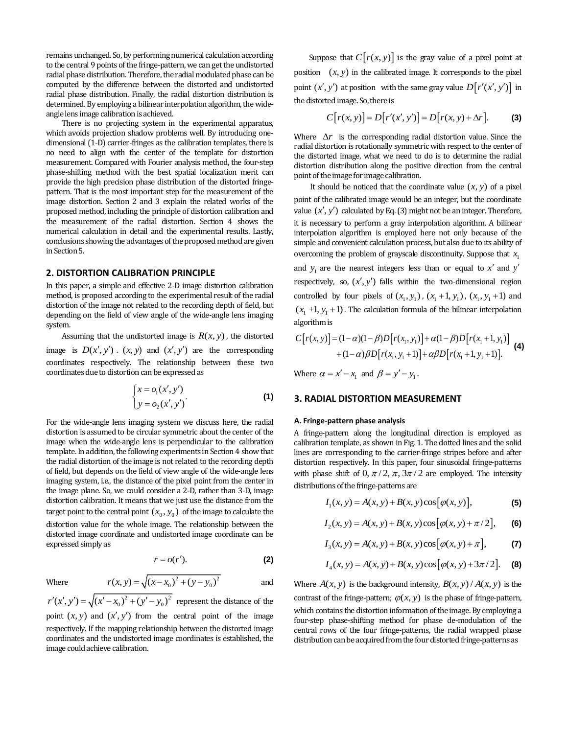remains unchanged. So, by performing numerical calculation according to the central 9 points of the fringe-pattern, we can get the undistorted radial phase distribution. Therefore, the radial modulated phase can be computed by the difference between the distorted and undistorted radial phase distribution. Finally, the radial distortion distribution is determined. By employing a bilinear interpolation algorithm, the wideangle lens image calibration is achieved.

There is no projecting system in the experimental apparatus, which avoids projection shadow problems well. By introducing onedimensional (1-D) carrier-fringes as the calibration templates, there is no need to align with the center of the template for distortion measurement. Compared with Fourier analysis method, the four-step phase-shifting method with the best spatial localization merit can provide the high precision phase distribution of the distorted fringepattern. That is the most important step for the measurement of the image distortion. Section 2 and 3 explain the related works of the proposed method, including the principle of distortion calibration and the measurement of the radial distortion. Section 4 shows the numerical calculation in detail and the experimental results. Lastly, conclusions showing the advantages of the proposed method are given in Section 5.

## **2. DISTORTION CALIBRATION PRINCIPLE**

In this paper, a simple and effective 2-D image distortion calibration method, is proposed according to the experimental result of the radial distortion of the image not related to the recording depth of field, but depending on the field of view angle of the wide-angle lens imaging system.

Assuming that the undistorted image is  $R(x, y)$ , the distorted image is  $D(x', y')$ .  $(x, y)$  and  $(x', y')$  are the corresponding coordinates respectively. The relationship between these two coordinates due to distortion can be expressed as

$$
\begin{cases} x = o_1(x', y') \\ y = o_2(x', y') \end{cases}
$$
 (1)

For the wide-angle lens imaging system we discuss here, the radial distortion is assumed to be circular symmetric about the center of the image when the wide-angle lens is perpendicular to the calibration template. In addition, the following experiments in Section 4 show that the radial distortion of the image is not related to the recording depth of field, but depends on the field of view angle of the wide-angle lens imaging system, i.e., the distance of the pixel point from the center in the image plane. So, we could consider a 2-D, rather than 3-D, image distortion calibration. It means that we just use the distance from the target point to the central point  $(x_0, y_0)$  of the image to calculate the distortion value for the whole image. The relationship between the distorted image coordinate and undistorted image coordinate can be expressed simply as

$$
r = o(r').
$$
 (2)

and

 $r'(x', y') = \sqrt{(x'-x_0)^2 + (y'-y_0)^2}$  represent the distance of the point  $(x, y)$  and  $(x', y')$  from the central point of the image respectively. If the mapping relationship between the distorted image coordinates and the undistorted image coordinates is established, the image could achieve calibration.

 $r(x, y) = \sqrt{(x - x_0)^2 + (y - y_0)^2}$ 

Where

Suppose that  $C[r(x, y)]$  is the gray value of a pixel point at position  $(x, y)$  in the calibrated image. It corresponds to the pixel point  $(x', y')$  at position with the same gray value  $D[r'(x', y')]$  in the distorted image. So, there is

$$
C[r(x, y)] = D[r'(x', y')] = D[r(x, y) + \Delta r].
$$
 (3)

Where  $\Delta r$  is the corresponding radial distortion value. Since the radial distortion is rotationally symmetric with respect to the center of the distorted image, what we need to do is to determine the radial distortion distribution along the positive direction from the central point of the image for image calibration.

It should be noticed that the coordinate value  $(x, y)$  of a pixel point of the calibrated image would be an integer, but the coordinate value  $(x', y')$  calculated by Eq. (3) might not be an integer. Therefore, it is necessary to perform a gray interpolation algorithm. A bilinear interpolation algorithm is employed here not only because of the simple and convenient calculation process, but also due to its ability of overcoming the problem of grayscale discontinuity. Suppose that  $x_1$ and  $y_1$  are the nearest integers less than or equal to  $x'$  and  $y'$ respectively, so,  $(x', y')$  falls within the two-dimensional region controlled by four pixels of  $(x_1, y_1)$ ,  $(x_1 + 1, y_1)$ ,  $(x_1, y_1 + 1)$  and  $(x_1 +1, y_1 +1)$ . The calculation formula of the bilinear interpolation algorithm is

$$
C[r(x, y)] = (1 - \alpha)(1 - \beta)D[r(x_1, y_1)] + \alpha(1 - \beta)D[r(x_1 + 1, y_1)] + (1 - \alpha)\beta D[r(x_1, y_1 + 1)] + \alpha\beta D[r(x_1 + 1, y_1 + 1)].
$$
  
(4)

Where  $\alpha = x' - x_1$  and  $\beta = y' - y_1$ .

### **3. RADIAL DISTORTION MEASUREMENT**

#### **A. Fringe-pattern phase analysis**

A fringe-pattern along the longitudinal direction is employed as calibration template, as shown in Fig. 1. The dotted lines and the solid lines are corresponding to the carrier-fringe stripes before and after distortion respectively. In this paper, four sinusoidal fringe-patterns with phase shift of  $0, \pi/2, \pi, 3\pi/2$  are employed. The intensity distributions of the fringe-patterns are

$$
I_1(x, y) = A(x, y) + B(x, y) \cos [\varphi(x, y)],
$$
 (5)

$$
I_2(x, y) = A(x, y) + B(x, y)\cos[\varphi(x, y) + \pi/2],
$$
 (6)

$$
I_3(x, y) = A(x, y) + B(x, y)\cos[\varphi(x, y) + \pi],
$$
 (7)

$$
I_4(x, y) = A(x, y) + B(x, y) \cos[\varphi(x, y) + 3\pi/2].
$$
 (8)

Where  $A(x, y)$  is the background intensity,  $B(x, y) / A(x, y)$  is the contrast of the fringe-pattern;  $\varphi(x, y)$  is the phase of fringe-pattern, which contains the distortion information of the image. By employing a four-step phase-shifting method for phase de-modulation of the central rows of the four fringe-patterns, the radial wrapped phase distribution can be acquired from the four distorted fringe-patterns as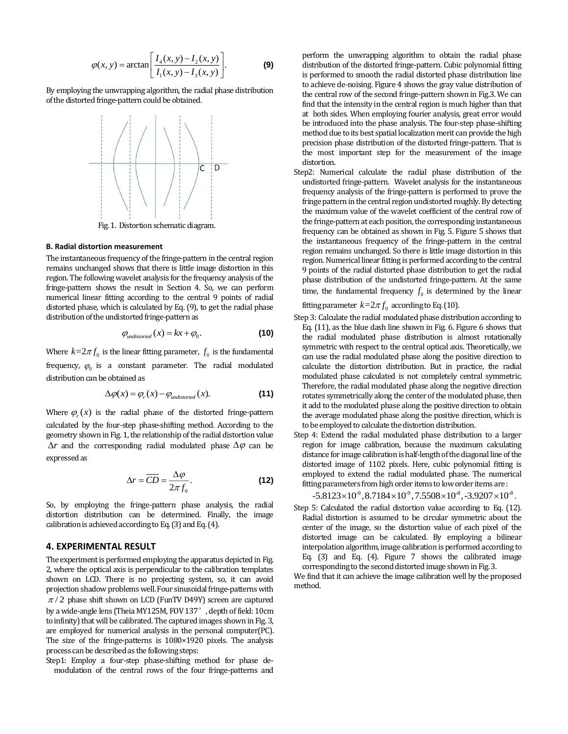$$
\varphi(x, y) = \arctan\bigg[\frac{I_4(x, y) - I_2(x, y)}{I_1(x, y) - I_3(x, y)}\bigg].
$$
 (9)

By employing the unwrapping algorithm, the radial phase distribution of the distorted fringe-pattern could be obtained.



#### **B. Radial distortion measurement**

The instantaneous frequency of the fringe-pattern in the central region remains unchanged shows that there is little image distortion in this region. The following wavelet analysis for the frequency analysis of the fringe-pattern shows the result in Section 4. So, we can perform numerical linear fitting according to the central 9 points of radial distorted phase, which is calculated by Eq. (9), to get the radial phase distribution of the undistorted fringe-pattern as

$$
\varphi_{\text{undistorted}}(x) = kx + \varphi_0. \tag{10}
$$

Where  $k=2\pi f_0$  is the linear fitting parameter,  $f_0$  is the fundamental frequency,  $\varphi_0$  is a constant parameter. The radial modulated distribution can be obtained as

$$
\Delta \varphi(x) = \varphi_c(x) - \varphi_{\text{undistorted}}(x). \tag{11}
$$

Where  $\varphi_c(x)$  is the radial phase of the distorted fringe-pattern calculated by the four-step phase-shifting method. According to the geometry shown in Fig.1, the relationship of the radial distortion value  $\Delta r$  and the corresponding radial modulated phase  $\Delta \varphi$  can be expressed as

$$
\Delta r = \overline{CD} = \frac{\Delta \varphi}{2\pi f_0}.
$$
 (12)

So, by employing the fringe-pattern phase analysis, the radial distortion distribution can be determined. Finally, the image calibration is achieved according to Eq.(3) and Eq.(4).

## **4. EXPERIMENTAL RESULT**

The experiment is performed employing the apparatus depicted in Fig. 2, where the optical axis is perpendicular to the calibration templates shown on LCD. There is no projecting system, so, it can avoid projection shadow problems well. Four sinusoidal fringe-patternswith  $\pi/2$  phase shift shown on LCD (FunTV D49Y) screen are captured by a wide-angle lens (Theia MY125M, FOV 137°, depth of field: 10cm to infinity) that will be calibrated. The captured images shown in Fig. 3, are employed for numerical analysis in the personal computer(PC). The size of the fringe-patterns is 1080×1920 pixels. The analysis process can be described as the following steps:

Step1: Employ a four-step phase-shifting method for phase demodulation of the central rows of the four fringe-patterns and perform the unwrapping algorithm to obtain the radial phase distribution of the distorted fringe-pattern. Cubic polynomial fitting is performed to smooth the radial distorted phase distribution line to achieve de-noising. Figure 4 shows the gray value distribution of the central row of the second fringe-pattern shown in Fig.3. We can find that the intensity in the central region is much higher than that at both sides. When employing fourier analysis, great error would be introduced into the phase analysis. The four-step phase-shifting method due to its best spatial localization merit can provide the high precision phase distribution of the distorted fringe-pattern. That is the most important step for the measurement of the image distortion.

Step2: Numerical calculate the radial phase distribution of the undistorted fringe-pattern. Wavelet analysis for the instantaneous frequency analysis of the fringe-pattern is performed to prove the fringe pattern in the central region undistorted roughly. By detecting the maximum value of the wavelet coefficient of the central row of the fringe-pattern at each position, the corresponding instantaneous frequency can be obtained as shown in Fig. 5. Figure 5 shows that the instantaneous frequency of the fringe-pattern in the central region remains unchanged. So there is little image distortion in this region. Numerical linear fitting is performed according to the central 9 points of the radial distorted phase distribution to get the radial phase distribution of the undistorted fringe-pattern. At the same time, the fundamental frequency  $f_0$  is determined by the linear

fitting parameter  $k=2\pi f_{0}$  according to Eq. (10).

- Step 3: Calculate the radial modulated phase distribution according to Eq. (11), as the blue dash line shown in Fig. 6. Figure 6 shows that the radial modulated phase distribution is almost rotationally symmetric with respect to the central optical axis. Theoretically, we can use the radial modulated phase along the positive direction to calculate the distortion distribution. But in practice, the radial modulated phase calculated is not completely central symmetric. Therefore, the radial modulated phase along the negative direction rotates symmetrically along the center of the modulated phase, then it add to the modulated phase along the positive direction to obtain the average modulated phase along the positive direction, which is to be employed to calculate the distortion distribution.
- Step 4: Extend the radial modulated phase distribution to a larger region for image calibration, because the maximum calculating distance for image calibration is half-length of the diagonal line of the distorted image of 1102 pixels. Here, cubic polynomial fitting is employed to extend the radial modulated phase. The numerical fitting parameters from high order items to low order items are :

$$
-5.8123\times10^{9}, 8.7184\times10^{9}, 7.5508\times10^{8}, -3.9207\times10^{8}.
$$

Step 5: Calculated the radial distortion value according to Eq. (12). Radial distortion is assumed to be circular symmetric about the center of the image, so the distortion value of each pixel of the distorted image can be calculated. By employing a bilinear interpolation algorithm, image calibration is performed according to Eq. (3) and Eq. (4). Figure 7 shows the calibrated image corresponding to the second distorted image shown in Fig. 3.

We find that it can achieve the image calibration well by the proposed method.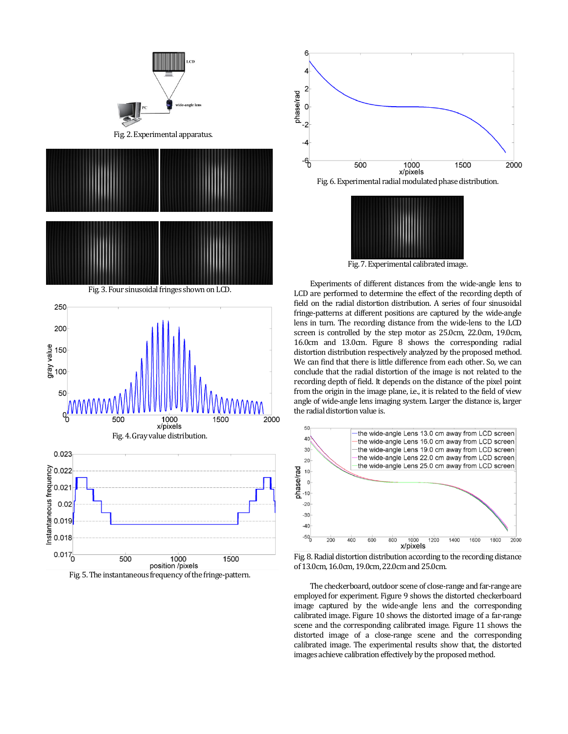







Fig.7.Experimental calibrated image.

Experiments of different distances from the wide-angle lens to LCD are performed to determine the effect of the recording depth of field on the radial distortion distribution. A series of four sinusoidal fringe-patterns at different positions are captured by the wide-angle lens in turn. The recording distance from the wide-lens to the LCD screen is controlled by the step motor as 25.0cm, 22.0cm, 19.0cm, 16.0cm and 13.0cm. Figure 8 shows the corresponding radial distortion distribution respectively analyzed by the proposed method. We can find that there is little difference from each other. So, we can conclude that the radial distortion of the image is not related to the recording depth of field. It depends on the distance of the pixel point from the origin in the image plane, i.e., it is related to the field of view angle of wide-angle lens imaging system. Larger the distance is, larger the radial distortion value is.



Fig.8.Radial distortion distribution according to the recording distance of 13.0cm, 16.0cm, 19.0cm, 22.0cm and 25.0cm.

The checkerboard, outdoor scene of close-range and far-range are employed for experiment. Figure 9 shows the distorted checkerboard image captured by the wide-angle lens and the corresponding calibrated image. Figure 10 shows the distorted image of a far-range scene and the corresponding calibrated image. Figure 11 shows the distorted image of a close-range scene and the corresponding calibrated image. The experimental results show that, the distorted images achieve calibration effectively by the proposed method.